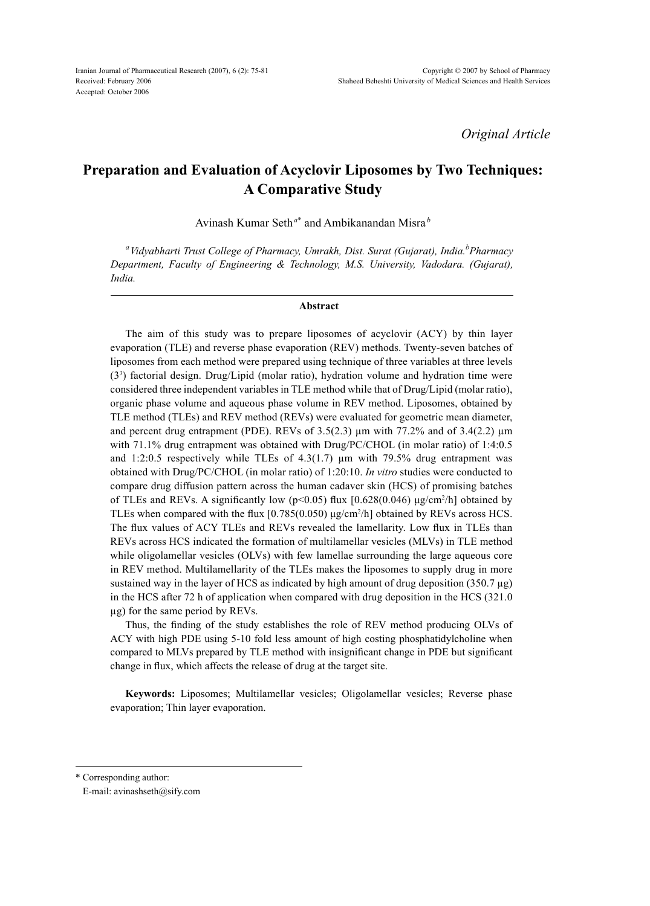*Original Article*

# **Preparation and Evaluation of Acyclovir Liposomes by Two Techniques: A Comparative Study**

Avinash Kumar Seth*<sup>a</sup>*\* and Ambikanandan Misra *<sup>b</sup>*

<sup>a</sup>Vidyabharti Trust College of Pharmacy, Umrakh, Dist. Surat (Gujarat), India.<sup>b</sup>Pharmacy *Department, Faculty of Engineering & Technology, M.S. University, Vadodara. (Gujarat), India.*

#### **Abstract**

The aim of this study was to prepare liposomes of acyclovir (ACY) by thin layer evaporation (TLE) and reverse phase evaporation (REV) methods. Twenty-seven batches of liposomes from each method were prepared using technique of three variables at three levels (33 ) factorial design. Drug/Lipid (molar ratio), hydration volume and hydration time were considered three independent variables in TLE method while that of Drug/Lipid (molar ratio), organic phase volume and aqueous phase volume in REV method. Liposomes, obtained by TLE method (TLEs) and REV method (REVs) were evaluated for geometric mean diameter, and percent drug entrapment (PDE). REVs of  $3.5(2.3)$  µm with 77.2% and of  $3.4(2.2)$  µm with 71.1% drug entrapment was obtained with Drug/PC/CHOL (in molar ratio) of 1:4:0.5 and 1:2:0.5 respectively while TLEs of  $4.3(1.7)$  µm with 79.5% drug entrapment was obtained with Drug/PC/CHOL (in molar ratio) of 1:20:10. *In vitro* studies were conducted to compare drug diffusion pattern across the human cadaver skin (HCS) of promising batches of TLEs and REVs. A significantly low  $(p<0.05)$  flux  $[0.628(0.046) \text{ µg/cm}^2/h]$  obtained by TLEs when compared with the flux  $[0.785(0.050) \mu g/cm^2/h]$  obtained by REVs across HCS. The flux values of ACY TLEs and REVs revealed the lamellarity. Low flux in TLEs than REVs across HCS indicated the formation of multilamellar vesicles (MLVs) in TLE method while oligolamellar vesicles (OLVs) with few lamellae surrounding the large aqueous core in REV method. Multilamellarity of the TLEs makes the liposomes to supply drug in more sustained way in the layer of HCS as indicated by high amount of drug deposition (350.7 µg) in the HCS after 72 h of application when compared with drug deposition in the HCS (321.0 µg) for the same period by REVs.

Thus, the finding of the study establishes the role of REV method producing OLVs of ACY with high PDE using 5-10 fold less amount of high costing phosphatidylcholine when compared to MLVs prepared by TLE method with insignificant change in PDE but significant change in flux, which affects the release of drug at the target site.

**Keywords:** Liposomes; Multilamellar vesicles; Oligolamellar vesicles; Reverse phase evaporation; Thin layer evaporation.

\* Corresponding author:

E-mail: avinashseth@sify.com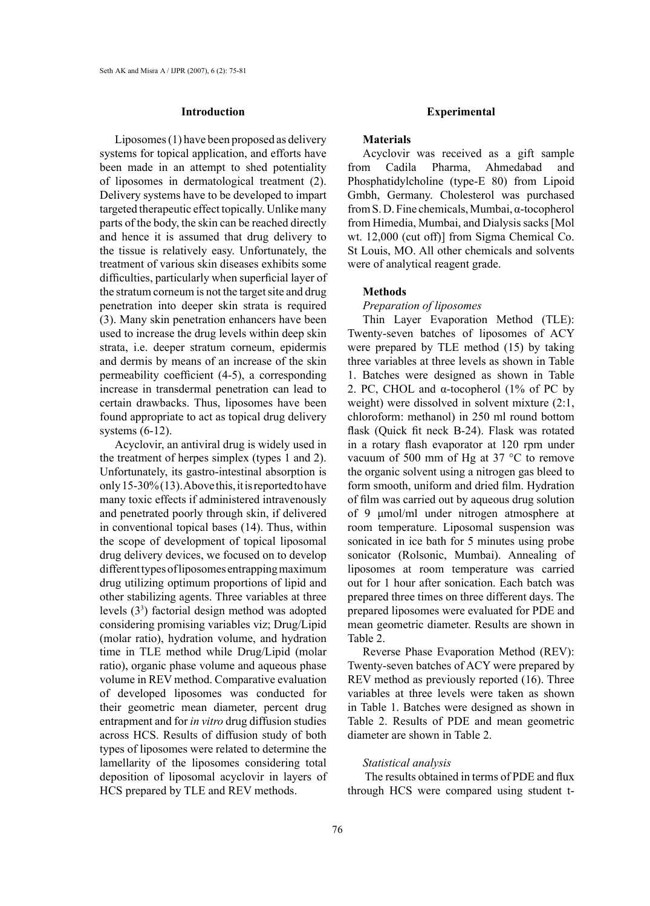# **Introduction**

Liposomes (1) have been proposed as delivery systems for topical application, and efforts have been made in an attempt to shed potentiality of liposomes in dermatological treatment (2). Delivery systems have to be developed to impart targeted therapeutic effect topically. Unlike many parts of the body, the skin can be reached directly and hence it is assumed that drug delivery to the tissue is relatively easy. Unfortunately, the treatment of various skin diseases exhibits some difficulties, particularly when superficial layer of the stratum corneum is not the target site and drug penetration into deeper skin strata is required (3). Many skin penetration enhancers have been used to increase the drug levels within deep skin strata, i.e. deeper stratum corneum, epidermis and dermis by means of an increase of the skin permeability coefficient (4-5), a corresponding increase in transdermal penetration can lead to certain drawbacks. Thus, liposomes have been found appropriate to act as topical drug delivery systems (6-12).

Acyclovir, an antiviral drug is widely used in the treatment of herpes simplex (types 1 and 2). Unfortunately, its gastro-intestinal absorption is only 15-30% (13). Above this, it is reported to have many toxic effects if administered intravenously and penetrated poorly through skin, if delivered in conventional topical bases (14). Thus, within the scope of development of topical liposomal drug delivery devices, we focused on to develop different types of liposomes entrapping maximum drug utilizing optimum proportions of lipid and other stabilizing agents. Three variables at three levels (33 ) factorial design method was adopted considering promising variables viz; Drug/Lipid (molar ratio), hydration volume, and hydration time in TLE method while Drug/Lipid (molar ratio), organic phase volume and aqueous phase volume in REV method. Comparative evaluation of developed liposomes was conducted for their geometric mean diameter, percent drug entrapment and for *in vitro* drug diffusion studies across HCS. Results of diffusion study of both types of liposomes were related to determine the lamellarity of the liposomes considering total deposition of liposomal acyclovir in layers of HCS prepared by TLE and REV methods.

#### **Experimental**

## **Materials**

Acyclovir was received as a gift sample from Cadila Pharma, Ahmedabad and Phosphatidylcholine (type-E 80) from Lipoid Gmbh, Germany. Cholesterol was purchased from S. D. Fine chemicals, Mumbai, α-tocopherol from Himedia, Mumbai, and Dialysis sacks [Mol wt. 12,000 (cut off)] from Sigma Chemical Co. St Louis, MO. All other chemicals and solvents were of analytical reagent grade.

#### **Methods**

*Preparation of liposomes*

Thin Layer Evaporation Method (TLE): Twenty-seven batches of liposomes of ACY were prepared by TLE method (15) by taking three variables at three levels as shown in Table 1. Batches were designed as shown in Table 2. PC, CHOL and  $\alpha$ -tocopherol (1% of PC by weight) were dissolved in solvent mixture (2:1, chloroform: methanol) in 250 ml round bottom flask (Quick fit neck B-24). Flask was rotated in a rotary flash evaporator at 120 rpm under vacuum of 500 mm of Hg at 37 °C to remove the organic solvent using a nitrogen gas bleed to form smooth, uniform and dried film. Hydration of film was carried out by aqueous drug solution of 9 μmol/ml under nitrogen atmosphere at room temperature. Liposomal suspension was sonicated in ice bath for 5 minutes using probe sonicator (Rolsonic, Mumbai). Annealing of liposomes at room temperature was carried out for 1 hour after sonication. Each batch was prepared three times on three different days. The prepared liposomes were evaluated for PDE and mean geometric diameter. Results are shown in Table 2.

Reverse Phase Evaporation Method (REV): Twenty-seven batches of ACY were prepared by REV method as previously reported (16). Three variables at three levels were taken as shown in Table 1. Batches were designed as shown in Table 2. Results of PDE and mean geometric diameter are shown in Table 2.

#### *Statistical analysis*

 The results obtained in terms of PDE and flux through HCS were compared using student t-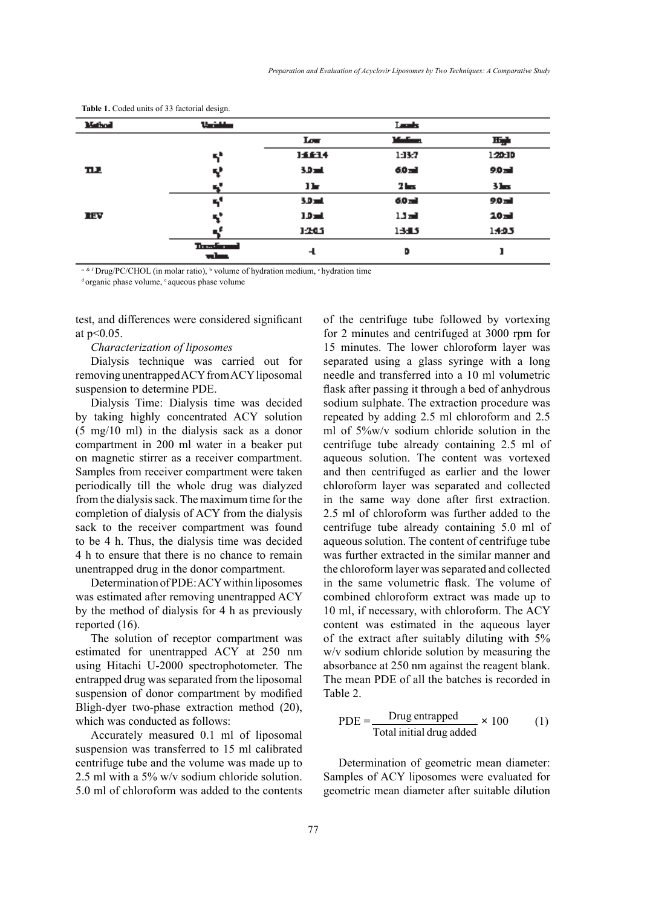| Mathod | Vaciation                 |                  | Leads   |                  |
|--------|---------------------------|------------------|---------|------------------|
|        |                           | Low <sub>1</sub> | Marian. | Hyh              |
|        | 51                        | 14614            | 1:13:7  | 120:10           |
| ᅲ      | Y                         | 3.D and          | 60 mi   | 9.0 mil          |
|        | ч,                        | 11-              | 2 kg    | $3 -$            |
|        | 51                        | 3.D mL           | 6.0 mil | 9.0 mil          |
| IIV    | ч,                        | $10-1$           | 1.1 mil | 20 <sub>rd</sub> |
|        |                           | 1205             | 13:15   | 1405             |
|        | The self-ranged<br>where, | 4                | D       |                  |

**Table 1.** Coded units of 33 factorial design.

<sup>a & f</sup> Drug/PC/CHOL (in molar ratio), <sup>b</sup> volume of hydration medium, <sup>c</sup> hydration time dorganic phase volume, <sup>e</sup> aqueous phase volume

test, and differences were considered significant at p<0.05.

# *Characterization of liposomes*

Dialysis technique was carried out for removing unentrapped ACY from ACY liposomal suspension to determine PDE.

Dialysis Time: Dialysis time was decided by taking highly concentrated ACY solution (5 mg/10 ml) in the dialysis sack as a donor compartment in 200 ml water in a beaker put on magnetic stirrer as a receiver compartment. Samples from receiver compartment were taken periodically till the whole drug was dialyzed from the dialysis sack. The maximum time for the completion of dialysis of ACY from the dialysis sack to the receiver compartment was found to be 4 h. Thus, the dialysis time was decided 4 h to ensure that there is no chance to remain unentrapped drug in the donor compartment.

Determination of PDE: ACY within liposomes was estimated after removing unentrapped ACY by the method of dialysis for 4 h as previously reported (16).

The solution of receptor compartment was estimated for unentrapped ACY at 250 nm using Hitachi U-2000 spectrophotometer. The entrapped drug was separated from the liposomal suspension of donor compartment by modified Bligh-dyer two-phase extraction method (20), which was conducted as follows:

Accurately measured 0.1 ml of liposomal suspension was transferred to 15 ml calibrated centrifuge tube and the volume was made up to 2.5 ml with a 5% w/v sodium chloride solution. 5.0 ml of chloroform was added to the contents of the centrifuge tube followed by vortexing for 2 minutes and centrifuged at 3000 rpm for 15 minutes. The lower chloroform layer was separated using a glass syringe with a long needle and transferred into a 10 ml volumetric flask after passing it through a bed of anhydrous sodium sulphate. The extraction procedure was repeated by adding 2.5 ml chloroform and 2.5 ml of 5%w/v sodium chloride solution in the centrifuge tube already containing 2.5 ml of aqueous solution. The content was vortexed and then centrifuged as earlier and the lower chloroform layer was separated and collected in the same way done after first extraction. 2.5 ml of chloroform was further added to the centrifuge tube already containing 5.0 ml of aqueous solution. The content of centrifuge tube was further extracted in the similar manner and the chloroform layer was separated and collected in the same volumetric flask. The volume of combined chloroform extract was made up to 10 ml, if necessary, with chloroform. The ACY content was estimated in the aqueous layer of the extract after suitably diluting with 5% w/v sodium chloride solution by measuring the absorbance at 250 nm against the reagent blank. The mean PDE of all the batches is recorded in Table 2.

PDE = 
$$
\frac{\text{Drug entrapped}}{\text{Total initial drug added}} \times 100
$$
 (1)

Determination of geometric mean diameter: Samples of ACY liposomes were evaluated for geometric mean diameter after suitable dilution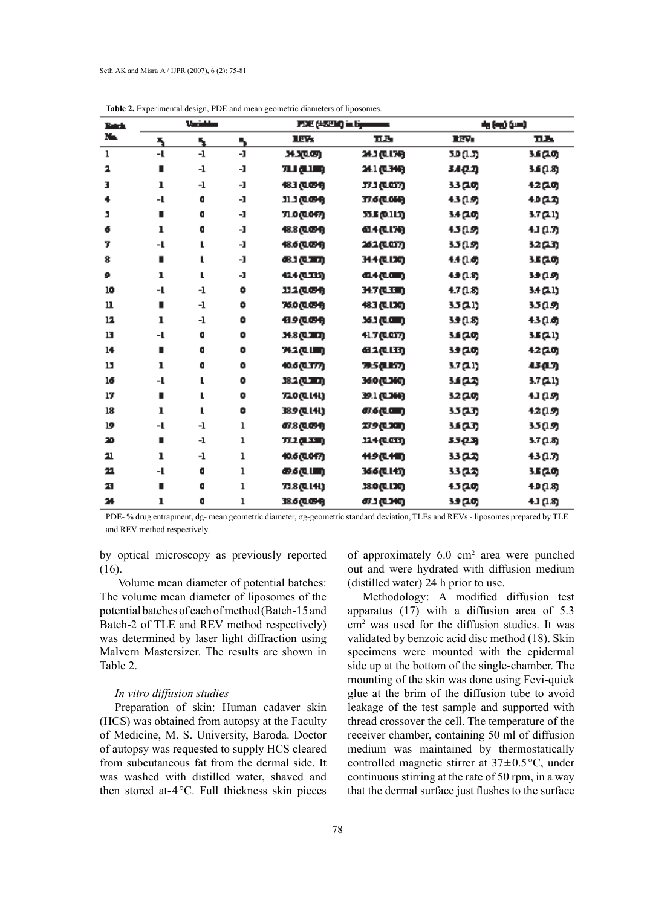| Patrix.<br>N. | Variables |               | PDE (#394) in tipeneers |                          |                    | (س) (س)   |           |
|---------------|-----------|---------------|-------------------------|--------------------------|--------------------|-----------|-----------|
|               | ٦.        | 5             | 5                       | <b>LET</b>               | пљ                 | IIV.      | пљ        |
| ı             | -1        | $\mathbf{-1}$ | $\mathbf{I}$            | ждор                     | 34.3 (LL76)        | ת מפכ     | 3.6 (20)  |
| 2             | ٠         | -1            | -1                      | யமுற                     | 54.1 (L346)        | 3.4 Q.ZJ  | 3.6 (1.8) |
| з             | ı         | -1            | -1                      | 683 (LOSA)               | 37.3 (Q.CIT)       | 33 (20)   | 12 (10)   |
| 4             | -1        | o             | -1                      | 91.1 (1.094)             | 77.6 (LOSS)        | 43 (19)   | 1952)     |
| л             | ٠         | o             | -1                      | 71.0 (LOF7)              | 33.E (0.113)       | 3.4 (20)  | 3.7 (21)  |
| 6             | ı         | ۰             | -1                      | 48.8 (LCF4)              | <b>61.4 (LL76)</b> | 45 (19)   | 43 (1.T)  |
| 7             | -1        | L             | -1                      | 48.6 (LCM)               | 262 (LOT)          | 35 (19)   | 3.2 (1.T) |
| 8             | ٠         | L             | -1                      | ைகுமாற                   | 34.4 (LLJO)        | 44 (1.6)  | 3.5 (20)  |
| 9             | ı         | L             | -1                      | 414 (LIN)                | 44见(画)             | 49 (18)   | 39 (19)   |
| 10            | -1        | -1            | ۰                       | 112 (1894)               | 34.7 (LEE)         | 4.7 (1.8) | 3.4 (21)  |
| $\mathbf u$   | ٠         | -1            | ۰                       | 76.0 (LCP4)              | 483 (LLDO)         | 35 Q I)   | 35 (19)   |
| 12            | ı         | -1            | ۰                       | <u>ብቃ@መብ</u>             | 163 (LON)          | 3.9 (1.8) | 43 (1.6)  |
| 13            | -L        | o             | ۰                       | <b>маршт</b>             | 41.7 (LOT)         | 3.6 (20)  | 3.5 (21)  |
| 14            | ٠         | O             | ۰                       | 742 (LUII)               | 81@LD              | 39 (20)   | 12(10)    |
| 13            | ı         | a             | ۰                       | 40.6(1.377)              | 79.SQLIST)         | 3.7 (21)  | கத        |
| 16            | -1        | L             | ۰                       | 382 (LEU)                | 0000360            | رحمءد     | 3.7 (21)  |
| 17            | ٠         | L             | ۰                       | 720 (LI4I)               | 39.1 (L366)        | 32 (20)   | 43 (1.9)  |
| 18            | ı         | L             | ۰                       | 38.9 (LI.H.)             | கைகளை              | 3.5 Q.T)  | 42(19)    |
| 19            | -1        | -1            | ı                       | <i><b>67.8 (UBA)</b></i> | 279 (LION)         | 3.S (23)  | 3.5 (1.9) |
| 20            | ٠         | -1            | ı                       | 772 Q.XVI)               | 114 (LCII)         | 35 Q.B    | 3.7 (1.8) |
| 21            | ı         | -1            | ı                       | 40.6 (LOF7)              | 11.9 (L11)         | 33 Q.ZJ   | 43 (1.T)  |
| 22            | -1        | o             | ı                       | கையா                     | 36.6 (L 143)       | 33 A Z)   | 3.5 (20)  |
| 23            | ٠         | o             | ı                       | 73.8 (LL41)              | 38.0 (LL30)        | 15(10)    | 40 (18)   |
| 24            | ı         | G             | ı                       | 38.6 (LGSH               | <b>673 (LIMO)</b>  | 3.9 (20)  | 41 (1.8)  |

**Table 2.** Experimental design, PDE and mean geometric diameters of liposomes.

PDE- % drug entrapment, dg- mean geometric diameter, σg-geometric standard deviation, TLEs and REVs - liposomes prepared by TLE and REV method respectively.

by optical microscopy as previously reported (16).

 Volume mean diameter of potential batches: The volume mean diameter of liposomes of the potential batches of each of method (Batch-15 and Batch-2 of TLE and REV method respectively) was determined by laser light diffraction using Malvern Mastersizer. The results are shown in Table 2.

# *In vitro diffusion studies*

Preparation of skin: Human cadaver skin (HCS) was obtained from autopsy at the Faculty of Medicine, M. S. University, Baroda. Doctor of autopsy was requested to supply HCS cleared from subcutaneous fat from the dermal side. It was washed with distilled water, shaved and then stored at-4°C. Full thickness skin pieces

of approximately 6.0 cm<sup>2</sup> area were punched out and were hydrated with diffusion medium (distilled water) 24 h prior to use.

Methodology: A modified diffusion test apparatus (17) with a diffusion area of 5.3 cm2 was used for the diffusion studies. It was validated by benzoic acid disc method (18). Skin specimens were mounted with the epidermal side up at the bottom of the single-chamber. The mounting of the skin was done using Fevi-quick glue at the brim of the diffusion tube to avoid leakage of the test sample and supported with thread crossover the cell. The temperature of the receiver chamber, containing 50 ml of diffusion medium was maintained by thermostatically controlled magnetic stirrer at 37±0.5°C, under continuous stirring at the rate of 50 rpm, in a way that the dermal surface just flushes to the surface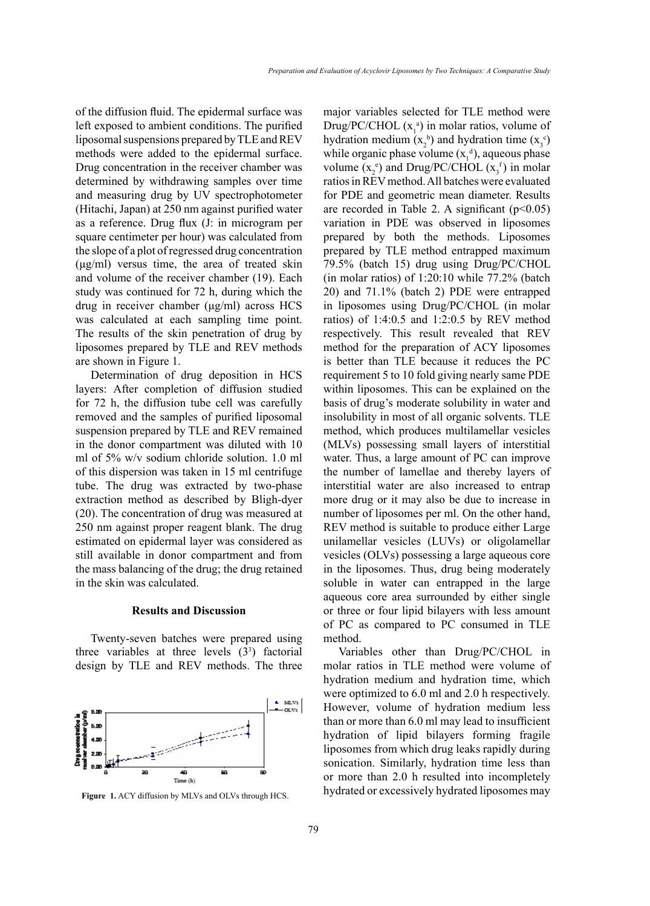of the diffusion fluid. The epidermal surface was left exposed to ambient conditions. The purified liposomal suspensions prepared by TLE and REV methods were added to the epidermal surface. Drug concentration in the receiver chamber was determined by withdrawing samples over time and measuring drug by UV spectrophotometer (Hitachi, Japan) at 250 nm against purified water as a reference. Drug flux (J: in microgram per square centimeter per hour) was calculated from the slope of a plot of regressed drug concentration (μg/ml) versus time, the area of treated skin and volume of the receiver chamber (19). Each study was continued for 72 h, during which the drug in receiver chamber (μg/ml) across HCS was calculated at each sampling time point. The results of the skin penetration of drug by liposomes prepared by TLE and REV methods are shown in Figure 1.

Determination of drug deposition in HCS layers: After completion of diffusion studied for 72 h, the diffusion tube cell was carefully removed and the samples of purified liposomal suspension prepared by TLE and REV remained in the donor compartment was diluted with 10 ml of 5% w/v sodium chloride solution. 1.0 ml of this dispersion was taken in 15 ml centrifuge tube. The drug was extracted by two-phase extraction method as described by Bligh-dyer (20). The concentration of drug was measured at 250 nm against proper reagent blank. The drug estimated on epidermal layer was considered as still available in donor compartment and from the mass balancing of the drug; the drug retained in the skin was calculated.

# **Results and Discussion**

Twenty-seven batches were prepared using three variables at three levels  $(3^3)$  factorial design by TLE and REV methods. The three



major variables selected for TLE method were Drug/PC/CHOL  $(x_1^a)$  in molar ratios, volume of hydration medium  $(x_2^b)$  and hydration time  $(x_3^c)$ while organic phase volume  $(x_1^d)$ , aqueous phase volume  $(x_2^e)$  and Drug/PC/CHOL  $(x_3^f)$  in molar ratios in REV method. All batches were evaluated for PDE and geometric mean diameter. Results are recorded in Table 2. A significant  $(p<0.05)$ variation in PDE was observed in liposomes prepared by both the methods. Liposomes prepared by TLE method entrapped maximum 79.5% (batch 15) drug using Drug/PC/CHOL (in molar ratios) of 1:20:10 while 77.2% (batch 20) and 71.1% (batch 2) PDE were entrapped in liposomes using Drug/PC/CHOL (in molar ratios) of 1:4:0.5 and 1:2:0.5 by REV method respectively. This result revealed that REV method for the preparation of ACY liposomes is better than TLE because it reduces the PC requirement 5 to 10 fold giving nearly same PDE within liposomes. This can be explained on the basis of drug's moderate solubility in water and insolubility in most of all organic solvents. TLE method, which produces multilamellar vesicles (MLVs) possessing small layers of interstitial water. Thus, a large amount of PC can improve the number of lamellae and thereby layers of interstitial water are also increased to entrap more drug or it may also be due to increase in number of liposomes per ml. On the other hand, REV method is suitable to produce either Large unilamellar vesicles (LUVs) or oligolamellar vesicles (OLVs) possessing a large aqueous core in the liposomes. Thus, drug being moderately soluble in water can entrapped in the large aqueous core area surrounded by either single or three or four lipid bilayers with less amount of PC as compared to PC consumed in TLE method.

Variables other than Drug/PC/CHOL in molar ratios in TLE method were volume of hydration medium and hydration time, which were optimized to 6.0 ml and 2.0 h respectively. However, volume of hydration medium less than or more than 6.0 ml may lead to insufficient hydration of lipid bilayers forming fragile liposomes from which drug leaks rapidly during sonication. Similarly, hydration time less than or more than 2.0 h resulted into incompletely Figure 1. ACY diffusion by MLVs and OLVs through HCS. hydrated or excessively hydrated liposomes may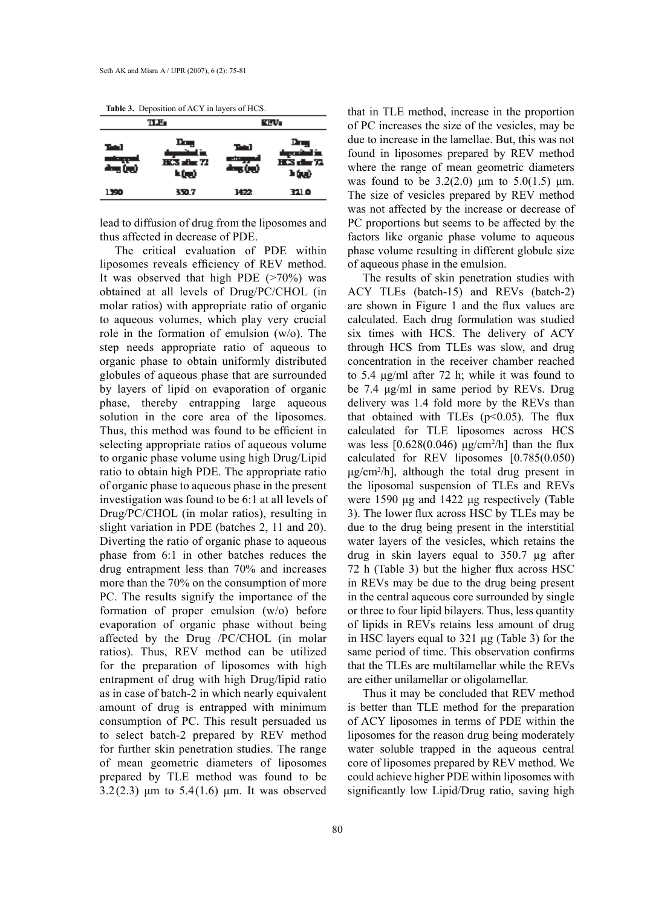**Table 3.** Deposition of ACY in layers of HCS.

|      | TLE.                                       | rev.        |                             |  |
|------|--------------------------------------------|-------------|-----------------------------|--|
| ъы   | <b>The</b><br>HCS after 72<br><b>h (m)</b> | Tыl<br>air. | Ρт.,<br>HES der 72<br>h (n) |  |
| 1390 | 350.7                                      | 1422        | 321.0                       |  |

lead to diffusion of drug from the liposomes and thus affected in decrease of PDE.

The critical evaluation of PDE within liposomes reveals efficiency of REV method. It was observed that high PDE  $($ >70%) was obtained at all levels of Drug/PC/CHOL (in molar ratios) with appropriate ratio of organic to aqueous volumes, which play very crucial role in the formation of emulsion (w/o). The step needs appropriate ratio of aqueous to organic phase to obtain uniformly distributed globules of aqueous phase that are surrounded by layers of lipid on evaporation of organic phase, thereby entrapping large aqueous solution in the core area of the liposomes. Thus, this method was found to be efficient in selecting appropriate ratios of aqueous volume to organic phase volume using high Drug/Lipid ratio to obtain high PDE. The appropriate ratio of organic phase to aqueous phase in the present investigation was found to be 6:1 at all levels of Drug/PC/CHOL (in molar ratios), resulting in slight variation in PDE (batches 2, 11 and 20). Diverting the ratio of organic phase to aqueous phase from 6:1 in other batches reduces the drug entrapment less than 70% and increases more than the 70% on the consumption of more PC. The results signify the importance of the formation of proper emulsion (w/o) before evaporation of organic phase without being affected by the Drug /PC/CHOL (in molar ratios). Thus, REV method can be utilized for the preparation of liposomes with high entrapment of drug with high Drug/lipid ratio as in case of batch-2 in which nearly equivalent amount of drug is entrapped with minimum consumption of PC. This result persuaded us to select batch-2 prepared by REV method for further skin penetration studies. The range of mean geometric diameters of liposomes prepared by TLE method was found to be  $3.2(2.3)$  μm to  $5.4(1.6)$  μm. It was observed

that in TLE method, increase in the proportion of PC increases the size of the vesicles, may be due to increase in the lamellae. But, this was not found in liposomes prepared by REV method where the range of mean geometric diameters was found to be  $3.2(2.0)$  μm to  $5.0(1.5)$  μm. The size of vesicles prepared by REV method was not affected by the increase or decrease of PC proportions but seems to be affected by the factors like organic phase volume to aqueous phase volume resulting in different globule size of aqueous phase in the emulsion.

The results of skin penetration studies with ACY TLEs (batch-15) and REVs (batch-2) are shown in Figure 1 and the flux values are calculated. Each drug formulation was studied six times with HCS. The delivery of ACY through HCS from TLEs was slow, and drug concentration in the receiver chamber reached to 5.4 μg/ml after 72 h; while it was found to be 7.4 μg/ml in same period by REVs. Drug delivery was 1.4 fold more by the REVs than that obtained with TLEs  $(p<0.05)$ . The flux calculated for TLE liposomes across HCS was less  $[0.628(0.046) \text{ µg/cm}^2/h]$  than the flux calculated for REV liposomes [0.785(0.050) μg/cm<sup>2</sup> /h], although the total drug present in the liposomal suspension of TLEs and REVs were 1590 μg and 1422 μg respectively (Table 3). The lower flux across HSC by TLEs may be due to the drug being present in the interstitial water layers of the vesicles, which retains the drug in skin layers equal to 350.7 µg after 72 h (Table 3) but the higher flux across HSC in REVs may be due to the drug being present in the central aqueous core surrounded by single or three to four lipid bilayers. Thus, less quantity of lipids in REVs retains less amount of drug in HSC layers equal to 321 µg (Table 3) for the same period of time. This observation confirms that the TLEs are multilamellar while the REVs are either unilamellar or oligolamellar.

Thus it may be concluded that REV method is better than TLE method for the preparation of ACY liposomes in terms of PDE within the liposomes for the reason drug being moderately water soluble trapped in the aqueous central core of liposomes prepared by REV method. We could achieve higher PDE within liposomes with significantly low Lipid/Drug ratio, saving high